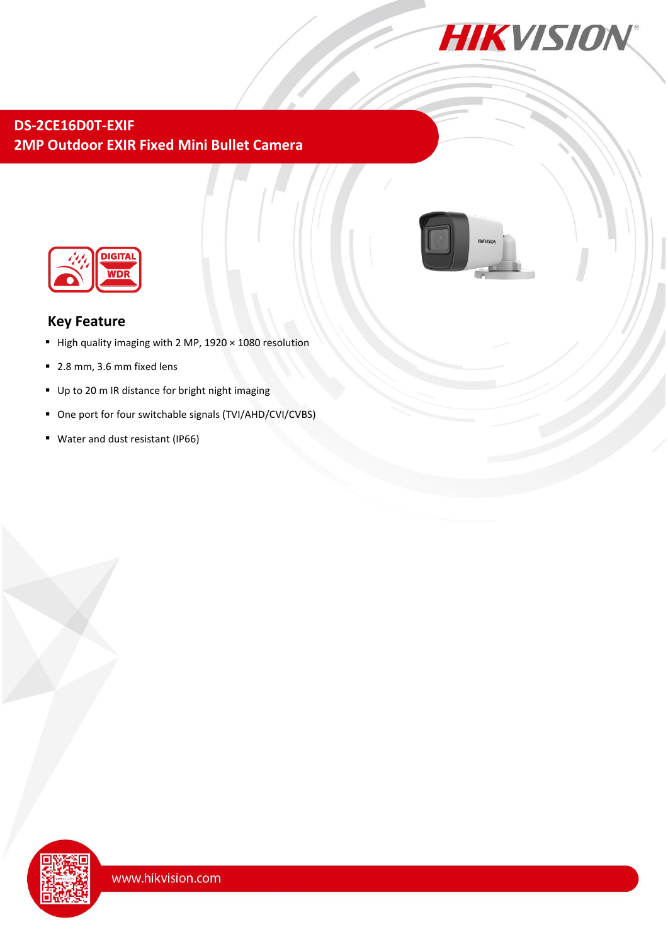

## **DS-2CE16D0T-EXIF 2MP Outdoor EXIR Fixed Mini Bullet Camera**



### **Key Feature**

- High quality imaging with 2 MP,  $1920 \times 1080$  resolution
- 2.8 mm, 3.6 mm fixed lens
- Up to 20 m IR distance for bright night imaging
- One port for four switchable signals (TVI/AHD/CVI/CVBS)
- Water and dust resistant (IP66)

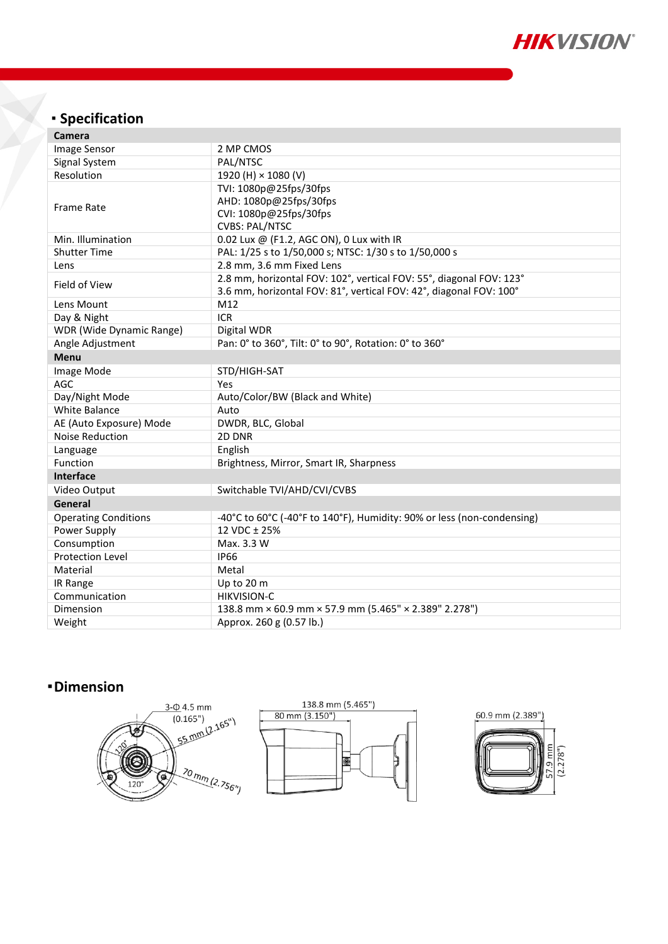

# **Specification**

| Image Sensor<br>2 MP CMOS<br>Signal System<br>PAL/NTSC<br>Resolution<br>1920 (H) × 1080 (V)<br>TVI: 1080p@25fps/30fps<br>AHD: 1080p@25fps/30fps<br><b>Frame Rate</b><br>CVI: 1080p@25fps/30fps<br><b>CVBS: PAL/NTSC</b><br>Min. Illumination<br>0.02 Lux @ (F1.2, AGC ON), 0 Lux with IR<br>PAL: 1/25 s to 1/50,000 s; NTSC: 1/30 s to 1/50,000 s<br><b>Shutter Time</b><br>2.8 mm, 3.6 mm Fixed Lens<br>Lens<br>2.8 mm, horizontal FOV: 102°, vertical FOV: 55°, diagonal FOV: 123°<br>Field of View<br>3.6 mm, horizontal FOV: 81°, vertical FOV: 42°, diagonal FOV: 100°<br>Lens Mount<br>M12<br><b>ICR</b><br>Day & Night<br><b>WDR</b> (Wide Dynamic Range)<br>Digital WDR<br>Angle Adjustment<br>Pan: 0° to 360°, Tilt: 0° to 90°, Rotation: 0° to 360°<br><b>Menu</b><br>STD/HIGH-SAT<br>Image Mode<br>AGC<br>Yes<br>Day/Night Mode<br>Auto/Color/BW (Black and White)<br><b>White Balance</b><br>Auto<br>DWDR, BLC, Global<br>AE (Auto Exposure) Mode<br><b>Noise Reduction</b><br>2D DNR<br>English<br>Language<br>Function<br>Brightness, Mirror, Smart IR, Sharpness<br><b>Interface</b><br>Video Output<br>Switchable TVI/AHD/CVI/CVBS<br>General<br>-40°C to 60°C (-40°F to 140°F), Humidity: 90% or less (non-condensing)<br><b>Operating Conditions</b><br>Power Supply<br>12 VDC ± 25%<br>Consumption<br>Max. 3.3 W<br><b>Protection Level</b><br><b>IP66</b><br>Material<br>Metal<br>IR Range<br>Up to 20 m<br><b>HIKVISION-C</b><br>Communication<br>138.8 mm × 60.9 mm × 57.9 mm (5.465" × 2.389" 2.278")<br>Dimension<br>Approx. 260 g (0.57 lb.)<br>Weight | <b>Camera</b> |  |
|---------------------------------------------------------------------------------------------------------------------------------------------------------------------------------------------------------------------------------------------------------------------------------------------------------------------------------------------------------------------------------------------------------------------------------------------------------------------------------------------------------------------------------------------------------------------------------------------------------------------------------------------------------------------------------------------------------------------------------------------------------------------------------------------------------------------------------------------------------------------------------------------------------------------------------------------------------------------------------------------------------------------------------------------------------------------------------------------------------------------------------------------------------------------------------------------------------------------------------------------------------------------------------------------------------------------------------------------------------------------------------------------------------------------------------------------------------------------------------------------------------------------------------------------------------------------------------|---------------|--|
|                                                                                                                                                                                                                                                                                                                                                                                                                                                                                                                                                                                                                                                                                                                                                                                                                                                                                                                                                                                                                                                                                                                                                                                                                                                                                                                                                                                                                                                                                                                                                                                 |               |  |
|                                                                                                                                                                                                                                                                                                                                                                                                                                                                                                                                                                                                                                                                                                                                                                                                                                                                                                                                                                                                                                                                                                                                                                                                                                                                                                                                                                                                                                                                                                                                                                                 |               |  |
|                                                                                                                                                                                                                                                                                                                                                                                                                                                                                                                                                                                                                                                                                                                                                                                                                                                                                                                                                                                                                                                                                                                                                                                                                                                                                                                                                                                                                                                                                                                                                                                 |               |  |
|                                                                                                                                                                                                                                                                                                                                                                                                                                                                                                                                                                                                                                                                                                                                                                                                                                                                                                                                                                                                                                                                                                                                                                                                                                                                                                                                                                                                                                                                                                                                                                                 |               |  |
|                                                                                                                                                                                                                                                                                                                                                                                                                                                                                                                                                                                                                                                                                                                                                                                                                                                                                                                                                                                                                                                                                                                                                                                                                                                                                                                                                                                                                                                                                                                                                                                 |               |  |
|                                                                                                                                                                                                                                                                                                                                                                                                                                                                                                                                                                                                                                                                                                                                                                                                                                                                                                                                                                                                                                                                                                                                                                                                                                                                                                                                                                                                                                                                                                                                                                                 |               |  |
|                                                                                                                                                                                                                                                                                                                                                                                                                                                                                                                                                                                                                                                                                                                                                                                                                                                                                                                                                                                                                                                                                                                                                                                                                                                                                                                                                                                                                                                                                                                                                                                 |               |  |
|                                                                                                                                                                                                                                                                                                                                                                                                                                                                                                                                                                                                                                                                                                                                                                                                                                                                                                                                                                                                                                                                                                                                                                                                                                                                                                                                                                                                                                                                                                                                                                                 |               |  |
|                                                                                                                                                                                                                                                                                                                                                                                                                                                                                                                                                                                                                                                                                                                                                                                                                                                                                                                                                                                                                                                                                                                                                                                                                                                                                                                                                                                                                                                                                                                                                                                 |               |  |
|                                                                                                                                                                                                                                                                                                                                                                                                                                                                                                                                                                                                                                                                                                                                                                                                                                                                                                                                                                                                                                                                                                                                                                                                                                                                                                                                                                                                                                                                                                                                                                                 |               |  |
|                                                                                                                                                                                                                                                                                                                                                                                                                                                                                                                                                                                                                                                                                                                                                                                                                                                                                                                                                                                                                                                                                                                                                                                                                                                                                                                                                                                                                                                                                                                                                                                 |               |  |
|                                                                                                                                                                                                                                                                                                                                                                                                                                                                                                                                                                                                                                                                                                                                                                                                                                                                                                                                                                                                                                                                                                                                                                                                                                                                                                                                                                                                                                                                                                                                                                                 |               |  |
|                                                                                                                                                                                                                                                                                                                                                                                                                                                                                                                                                                                                                                                                                                                                                                                                                                                                                                                                                                                                                                                                                                                                                                                                                                                                                                                                                                                                                                                                                                                                                                                 |               |  |
|                                                                                                                                                                                                                                                                                                                                                                                                                                                                                                                                                                                                                                                                                                                                                                                                                                                                                                                                                                                                                                                                                                                                                                                                                                                                                                                                                                                                                                                                                                                                                                                 |               |  |
|                                                                                                                                                                                                                                                                                                                                                                                                                                                                                                                                                                                                                                                                                                                                                                                                                                                                                                                                                                                                                                                                                                                                                                                                                                                                                                                                                                                                                                                                                                                                                                                 |               |  |
|                                                                                                                                                                                                                                                                                                                                                                                                                                                                                                                                                                                                                                                                                                                                                                                                                                                                                                                                                                                                                                                                                                                                                                                                                                                                                                                                                                                                                                                                                                                                                                                 |               |  |
|                                                                                                                                                                                                                                                                                                                                                                                                                                                                                                                                                                                                                                                                                                                                                                                                                                                                                                                                                                                                                                                                                                                                                                                                                                                                                                                                                                                                                                                                                                                                                                                 |               |  |
|                                                                                                                                                                                                                                                                                                                                                                                                                                                                                                                                                                                                                                                                                                                                                                                                                                                                                                                                                                                                                                                                                                                                                                                                                                                                                                                                                                                                                                                                                                                                                                                 |               |  |
|                                                                                                                                                                                                                                                                                                                                                                                                                                                                                                                                                                                                                                                                                                                                                                                                                                                                                                                                                                                                                                                                                                                                                                                                                                                                                                                                                                                                                                                                                                                                                                                 |               |  |
|                                                                                                                                                                                                                                                                                                                                                                                                                                                                                                                                                                                                                                                                                                                                                                                                                                                                                                                                                                                                                                                                                                                                                                                                                                                                                                                                                                                                                                                                                                                                                                                 |               |  |
|                                                                                                                                                                                                                                                                                                                                                                                                                                                                                                                                                                                                                                                                                                                                                                                                                                                                                                                                                                                                                                                                                                                                                                                                                                                                                                                                                                                                                                                                                                                                                                                 |               |  |
|                                                                                                                                                                                                                                                                                                                                                                                                                                                                                                                                                                                                                                                                                                                                                                                                                                                                                                                                                                                                                                                                                                                                                                                                                                                                                                                                                                                                                                                                                                                                                                                 |               |  |
|                                                                                                                                                                                                                                                                                                                                                                                                                                                                                                                                                                                                                                                                                                                                                                                                                                                                                                                                                                                                                                                                                                                                                                                                                                                                                                                                                                                                                                                                                                                                                                                 |               |  |
|                                                                                                                                                                                                                                                                                                                                                                                                                                                                                                                                                                                                                                                                                                                                                                                                                                                                                                                                                                                                                                                                                                                                                                                                                                                                                                                                                                                                                                                                                                                                                                                 |               |  |
|                                                                                                                                                                                                                                                                                                                                                                                                                                                                                                                                                                                                                                                                                                                                                                                                                                                                                                                                                                                                                                                                                                                                                                                                                                                                                                                                                                                                                                                                                                                                                                                 |               |  |
|                                                                                                                                                                                                                                                                                                                                                                                                                                                                                                                                                                                                                                                                                                                                                                                                                                                                                                                                                                                                                                                                                                                                                                                                                                                                                                                                                                                                                                                                                                                                                                                 |               |  |
|                                                                                                                                                                                                                                                                                                                                                                                                                                                                                                                                                                                                                                                                                                                                                                                                                                                                                                                                                                                                                                                                                                                                                                                                                                                                                                                                                                                                                                                                                                                                                                                 |               |  |
|                                                                                                                                                                                                                                                                                                                                                                                                                                                                                                                                                                                                                                                                                                                                                                                                                                                                                                                                                                                                                                                                                                                                                                                                                                                                                                                                                                                                                                                                                                                                                                                 |               |  |
|                                                                                                                                                                                                                                                                                                                                                                                                                                                                                                                                                                                                                                                                                                                                                                                                                                                                                                                                                                                                                                                                                                                                                                                                                                                                                                                                                                                                                                                                                                                                                                                 |               |  |
|                                                                                                                                                                                                                                                                                                                                                                                                                                                                                                                                                                                                                                                                                                                                                                                                                                                                                                                                                                                                                                                                                                                                                                                                                                                                                                                                                                                                                                                                                                                                                                                 |               |  |
|                                                                                                                                                                                                                                                                                                                                                                                                                                                                                                                                                                                                                                                                                                                                                                                                                                                                                                                                                                                                                                                                                                                                                                                                                                                                                                                                                                                                                                                                                                                                                                                 |               |  |
|                                                                                                                                                                                                                                                                                                                                                                                                                                                                                                                                                                                                                                                                                                                                                                                                                                                                                                                                                                                                                                                                                                                                                                                                                                                                                                                                                                                                                                                                                                                                                                                 |               |  |
|                                                                                                                                                                                                                                                                                                                                                                                                                                                                                                                                                                                                                                                                                                                                                                                                                                                                                                                                                                                                                                                                                                                                                                                                                                                                                                                                                                                                                                                                                                                                                                                 |               |  |

## **Dimension**